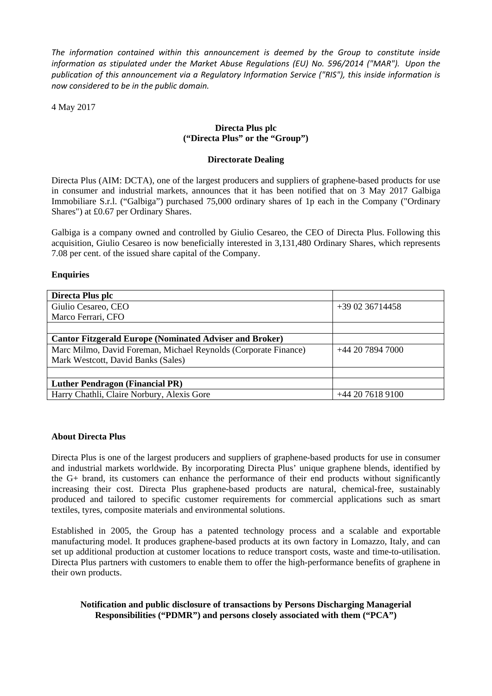*The information contained within this announcement is deemed by the Group to constitute inside information as stipulated under the Market Abuse Regulations (EU) No. 596/2014 ("MAR"). Upon the publication of this announcement via a Regulatory Information Service ("RIS"), this inside information is now considered to be in the public domain.*

4 May 2017

# **Directa Plus plc ("Directa Plus" or the "Group")**

### **Directorate Dealing**

Directa Plus (AIM: DCTA), one of the largest producers and suppliers of graphene-based products for use in consumer and industrial markets, announces that it has been notified that on 3 May 2017 Galbiga Immobiliare S.r.l. ("Galbiga") purchased 75,000 ordinary shares of 1p each in the Company ("Ordinary Shares") at £0.67 per Ordinary Shares.

Galbiga is a company owned and controlled by Giulio Cesareo, the CEO of Directa Plus. Following this acquisition, Giulio Cesareo is now beneficially interested in 3,131,480 Ordinary Shares, which represents 7.08 per cent. of the issued share capital of the Company.

## **Enquiries**

| Directa Plus plc                                                |                 |  |
|-----------------------------------------------------------------|-----------------|--|
| Giulio Cesareo, CEO                                             | +39 02 36714458 |  |
| Marco Ferrari, CFO                                              |                 |  |
|                                                                 |                 |  |
| <b>Cantor Fitzgerald Europe (Nominated Adviser and Broker)</b>  |                 |  |
| Marc Milmo, David Foreman, Michael Reynolds (Corporate Finance) | $+442078947000$ |  |
| Mark Westcott, David Banks (Sales)                              |                 |  |
|                                                                 |                 |  |
| <b>Luther Pendragon (Financial PR)</b>                          |                 |  |
| Harry Chathli, Claire Norbury, Alexis Gore                      | $+442076189100$ |  |

## **About Directa Plus**

Directa Plus is one of the largest producers and suppliers of graphene-based products for use in consumer and industrial markets worldwide. By incorporating Directa Plus' unique graphene blends, identified by the G+ brand, its customers can enhance the performance of their end products without significantly increasing their cost. Directa Plus graphene-based products are natural, chemical-free, sustainably produced and tailored to specific customer requirements for commercial applications such as smart textiles, tyres, composite materials and environmental solutions.

Established in 2005, the Group has a patented technology process and a scalable and exportable manufacturing model. It produces graphene-based products at its own factory in Lomazzo, Italy, and can set up additional production at customer locations to reduce transport costs, waste and time-to-utilisation. Directa Plus partners with customers to enable them to offer the high-performance benefits of graphene in their own products.

## **Notification and public disclosure of transactions by Persons Discharging Managerial Responsibilities ("PDMR") and persons closely associated with them ("PCA")**